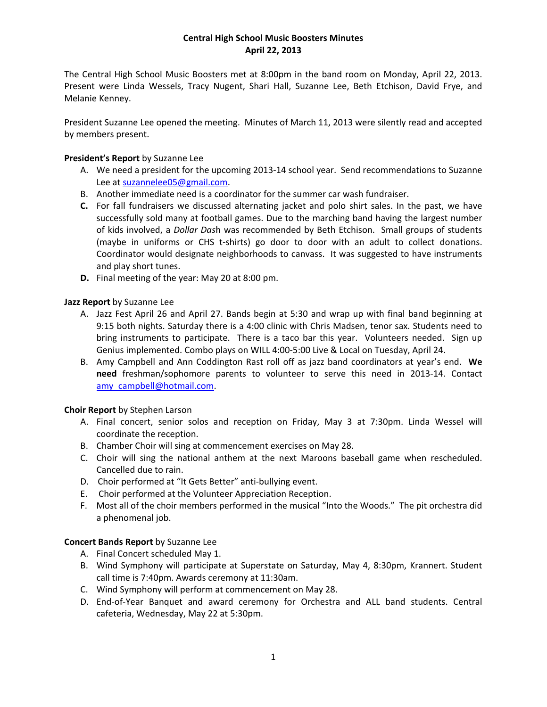# **Central High School Music Boosters Minutes April 22, 2013**

The Central High School Music Boosters met at 8:00pm in the band room on Monday, April 22, 2013. Present were Linda Wessels, Tracy Nugent, Shari Hall, Suzanne Lee, Beth Etchison, David Frye, and Melanie Kenney.

President Suzanne Lee opened the meeting. Minutes of March 11, 2013 were silently read and accepted by members present.

# **President's Report** by Suzanne Lee

- A. We need a president for the upcoming 2013‐14 school year. Send recommendations to Suzanne Lee at suzannelee05@gmail.com.
- B. Another immediate need is a coordinator for the summer car wash fundraiser.
- **C.** For fall fundraisers we discussed alternating jacket and polo shirt sales. In the past, we have successfully sold many at football games. Due to the marching band having the largest number of kids involved, a *Dollar Das*h was recommended by Beth Etchison. Small groups of students (maybe in uniforms or CHS t‐shirts) go door to door with an adult to collect donations. Coordinator would designate neighborhoods to canvass. It was suggested to have instruments and play short tunes.
- **D.** Final meeting of the year: May 20 at 8:00 pm.

### **Jazz Report** by Suzanne Lee

- A. Jazz Fest April 26 and April 27. Bands begin at 5:30 and wrap up with final band beginning at 9:15 both nights. Saturday there is a 4:00 clinic with Chris Madsen, tenor sax. Students need to bring instruments to participate. There is a taco bar this year. Volunteers needed. Sign up Genius implemented. Combo plays on WILL 4:00‐5:00 Live & Local on Tuesday, April 24.
- B. Amy Campbell and Ann Coddington Rast roll off as jazz band coordinators at year's end. **We need** freshman/sophomore parents to volunteer to serve this need in 2013‐14. Contact amy\_campbell@hotmail.com.

### **Choir Report** by Stephen Larson

- A. Final concert, senior solos and reception on Friday, May 3 at 7:30pm. Linda Wessel will coordinate the reception.
- B. Chamber Choir will sing at commencement exercises on May 28.
- C. Choir will sing the national anthem at the next Maroons baseball game when rescheduled. Cancelled due to rain.
- D. Choir performed at "It Gets Better" anti-bullying event.
- E. Choir performed at the Volunteer Appreciation Reception.
- F. Most all of the choir members performed in the musical "Into the Woods." The pit orchestra did a phenomenal job.

### **Concert Bands Report** by Suzanne Lee

- A. Final Concert scheduled May 1.
- B. Wind Symphony will participate at Superstate on Saturday, May 4, 8:30pm, Krannert. Student call time is 7:40pm. Awards ceremony at 11:30am.
- C. Wind Symphony will perform at commencement on May 28.
- D. End‐of‐Year Banquet and award ceremony for Orchestra and ALL band students. Central cafeteria, Wednesday, May 22 at 5:30pm.